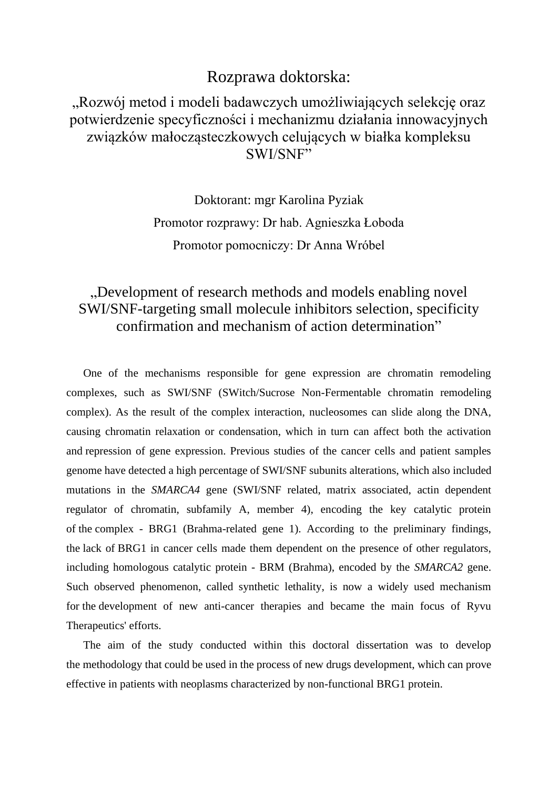## Rozprawa doktorska:

## "Rozwój metod i modeli badawczych umożliwiających selekcję oraz potwierdzenie specyficzności i mechanizmu działania innowacyjnych związków małocząsteczkowych celujących w białka kompleksu SWI/SNF"

Doktorant: mgr Karolina Pyziak Promotor rozprawy: Dr hab. Agnieszka Łoboda Promotor pomocniczy: Dr Anna Wróbel

## "Development of research methods and models enabling novel SWI/SNF-targeting small molecule inhibitors selection, specificity confirmation and mechanism of action determination"

One of the mechanisms responsible for gene expression are chromatin remodeling complexes, such as SWI/SNF (SWitch/Sucrose Non-Fermentable chromatin remodeling complex). As the result of the complex interaction, nucleosomes can slide along the DNA, causing chromatin relaxation or condensation, which in turn can affect both the activation and repression of gene expression. Previous studies of the cancer cells and patient samples genome have detected a high percentage of SWI/SNF subunits alterations, which also included mutations in the *SMARCA4* gene (SWI/SNF related, matrix associated, actin dependent regulator of chromatin, subfamily A, member 4), encoding the key catalytic protein of the complex - BRG1 (Brahma-related gene 1). According to the preliminary findings, the lack of BRG1 in cancer cells made them dependent on the presence of other regulators, including homologous catalytic protein - BRM (Brahma), encoded by the *SMARCA2* gene. Such observed phenomenon, called synthetic lethality, is now a widely used mechanism for the development of new anti-cancer therapies and became the main focus of Ryvu Therapeutics' efforts.

The aim of the study conducted within this doctoral dissertation was to develop the methodology that could be used in the process of new drugs development, which can prove effective in patients with neoplasms characterized by non-functional BRG1 protein.